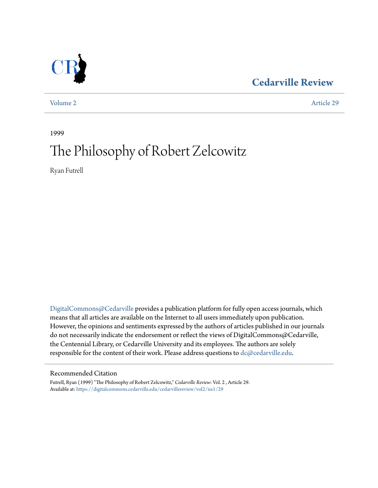### **[Cedarville Review](https://digitalcommons.cedarville.edu/cedarvillereview?utm_source=digitalcommons.cedarville.edu%2Fcedarvillereview%2Fvol2%2Fiss1%2F29&utm_medium=PDF&utm_campaign=PDFCoverPages)**

[Volume 2](https://digitalcommons.cedarville.edu/cedarvillereview/vol2?utm_source=digitalcommons.cedarville.edu%2Fcedarvillereview%2Fvol2%2Fiss1%2F29&utm_medium=PDF&utm_campaign=PDFCoverPages) [Article 29](https://digitalcommons.cedarville.edu/cedarvillereview/vol2/iss1/29?utm_source=digitalcommons.cedarville.edu%2Fcedarvillereview%2Fvol2%2Fiss1%2F29&utm_medium=PDF&utm_campaign=PDFCoverPages)

1999

# The Philosophy of Robert Zelcowitz

Ryan Futrell

[DigitalCommons@Cedarville](http://digitalcommons.cedarville.edu) provides a publication platform for fully open access journals, which means that all articles are available on the Internet to all users immediately upon publication. However, the opinions and sentiments expressed by the authors of articles published in our journals do not necessarily indicate the endorsement or reflect the views of DigitalCommons@Cedarville, the Centennial Library, or Cedarville University and its employees. The authors are solely responsible for the content of their work. Please address questions to  $dc@cedarville.edu$ .

### Recommended Citation

Futrell, Ryan (1999) "The Philosophy of Robert Zelcowitz," *Cedarville Review*: Vol. 2 , Article 29. Available at: [https://digitalcommons.cedarville.edu/cedarvillereview/vol2/iss1/29](https://digitalcommons.cedarville.edu/cedarvillereview/vol2/iss1/29?utm_source=digitalcommons.cedarville.edu%2Fcedarvillereview%2Fvol2%2Fiss1%2F29&utm_medium=PDF&utm_campaign=PDFCoverPages)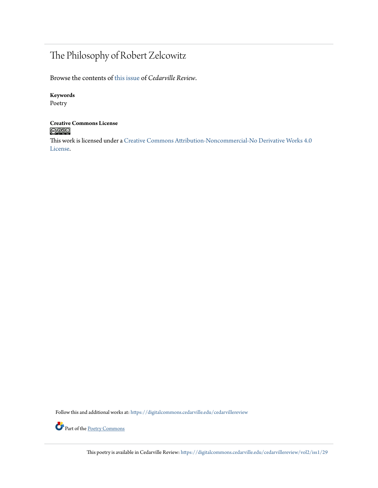## The Philosophy of Robert Zelcowitz

Browse the contents of [this issue](https://digitalcommons.cedarville.edu/cedarvillereview/vol2/iss1) of *Cedarville Review*.

### **Keywords**

Poetry

# **Creative Commons License**<br> **C** 000

This work is licensed under a [Creative Commons Attribution-Noncommercial-No Derivative Works 4.0](http://creativecommons.org/licenses/by-nc-nd/4.0/) [License.](http://creativecommons.org/licenses/by-nc-nd/4.0/)

Follow this and additional works at: [https://digitalcommons.cedarville.edu/cedarvillereview](https://digitalcommons.cedarville.edu/cedarvillereview?utm_source=digitalcommons.cedarville.edu%2Fcedarvillereview%2Fvol2%2Fiss1%2F29&utm_medium=PDF&utm_campaign=PDFCoverPages)



This poetry is available in Cedarville Review: [https://digitalcommons.cedarville.edu/cedarvillereview/vol2/iss1/29](https://digitalcommons.cedarville.edu/cedarvillereview/vol2/iss1/29?utm_source=digitalcommons.cedarville.edu%2Fcedarvillereview%2Fvol2%2Fiss1%2F29&utm_medium=PDF&utm_campaign=PDFCoverPages)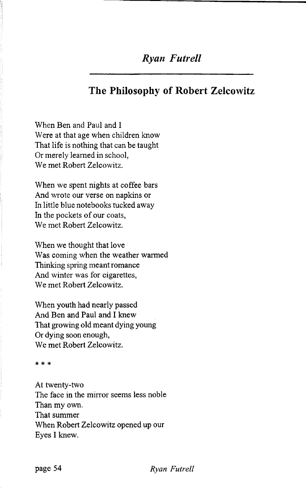### *Ryan Futrell*

### **The Philosophy of Robert Zelcowitz**

When Ben and Paul and I Were at that age when children know That life is nothing that can be taught Or merely learned in school, We met Robert Zelcowitz.

When we spent nights at coffee bars And wrote our verse on napkins or In little blue notebooks tucked away In the pockets of our coats, We met Robert Zelcowitz.

When we thought that love Was coming when the weather warmed Thinking spring meant romance And winter was for cigarettes, We met Robert Zelcowitz.

When youth had nearly passed And Ben and Paul and I knew That growing old meant dying young Or dying soon enough, We met Robert Zelcowitz.

\* \* \*

At twenty-two The face in the mirror seems less noble Than my own. That summer When Robert Zelcowitz opened up our Eyes I knew.

**page 54** *Ryan Futrell*